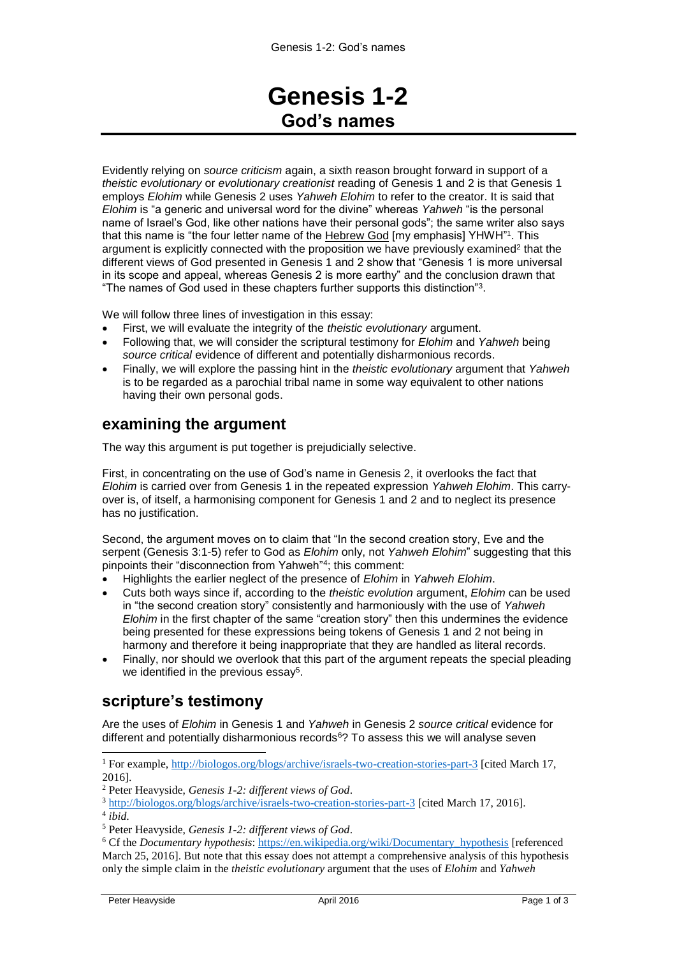# **Genesis 1-2 God's names**

Evidently relying on *source criticism* again, a sixth reason brought forward in support of a *theistic evolutionary* or *evolutionary creationist* reading of Genesis 1 and 2 is that Genesis 1 employs *Elohim* while Genesis 2 uses *Yahweh Elohim* to refer to the creator. It is said that *Elohim* is "a generic and universal word for the divine" whereas *Yahweh* "is the personal name of Israel's God, like other nations have their personal gods"; the same writer also says that this name is "the four letter name of the Hebrew God [my emphasis] YHWH"1. This argument is explicitly connected with the proposition we have previously examined<sup>2</sup> that the different views of God presented in Genesis 1 and 2 show that "Genesis 1 is more universal in its scope and appeal, whereas Genesis 2 is more earthy" and the conclusion drawn that "The names of God used in these chapters further supports this distinction"<sup>3</sup> .

We will follow three lines of investigation in this essay:

- First, we will evaluate the integrity of the *theistic evolutionary* argument.
- Following that, we will consider the scriptural testimony for *Elohim* and *Yahweh* being *source critical* evidence of different and potentially disharmonious records.
- Finally, we will explore the passing hint in the *theistic evolutionary* argument that *Yahweh* is to be regarded as a parochial tribal name in some way equivalent to other nations having their own personal gods.

#### **examining the argument**

The way this argument is put together is prejudicially selective.

First, in concentrating on the use of God's name in Genesis 2, it overlooks the fact that *Elohim* is carried over from Genesis 1 in the repeated expression *Yahweh Elohim*. This carryover is, of itself, a harmonising component for Genesis 1 and 2 and to neglect its presence has no justification.

Second, the argument moves on to claim that "In the second creation story, Eve and the serpent (Genesis 3:1-5) refer to God as *Elohim* only, not *Yahweh Elohim*" suggesting that this pinpoints their "disconnection from Yahweh"<sup>4</sup> ; this comment:

- Highlights the earlier neglect of the presence of *Elohim* in *Yahweh Elohim*.
- Cuts both ways since if, according to the *theistic evolution* argument, *Elohim* can be used in "the second creation story" consistently and harmoniously with the use of *Yahweh Elohim* in the first chapter of the same "creation story" then this undermines the evidence being presented for these expressions being tokens of Genesis 1 and 2 not being in harmony and therefore it being inappropriate that they are handled as literal records.
- Finally, nor should we overlook that this part of the argument repeats the special pleading we identified in the previous essay<sup>5</sup>.

### **scripture's testimony**

Are the uses of *Elohim* in Genesis 1 and *Yahweh* in Genesis 2 *source critical* evidence for different and potentially disharmonious records $6$ ? To assess this we will analyse seven

<sup>1</sup> For example,<http://biologos.org/blogs/archive/israels-two-creation-stories-part-3> [cited March 17, 2016].

 $\overline{a}$ 

<sup>2</sup> Peter Heavyside, *Genesis 1-2: different views of God*.

<sup>3</sup> <http://biologos.org/blogs/archive/israels-two-creation-stories-part-3> [cited March 17, 2016]. 4 *ibid*.

<sup>5</sup> Peter Heavyside, *Genesis 1-2: different views of God*.

<sup>6</sup> Cf the *Documentary hypothesis*: [https://en.wikipedia.org/wiki/Documentary\\_hypothesis](https://en.wikipedia.org/wiki/Documentary_hypothesis) [referenced March 25, 2016]. But note that this essay does not attempt a comprehensive analysis of this hypothesis only the simple claim in the *theistic evolutionary* argument that the uses of *Elohim* and *Yahweh*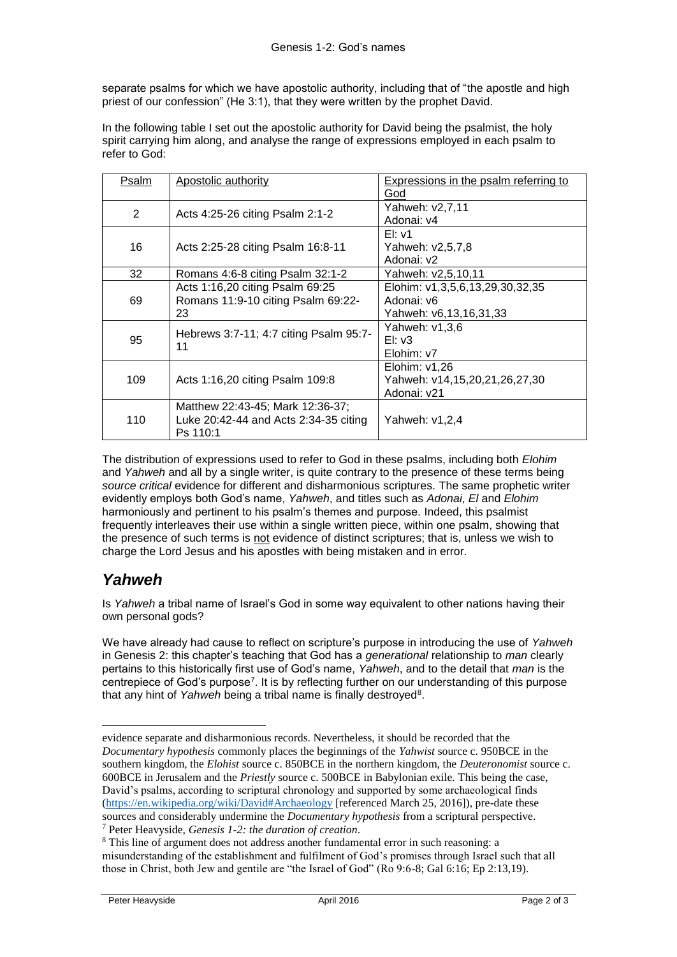separate psalms for which we have apostolic authority, including that of "the apostle and high priest of our confession" (He 3:1), that they were written by the prophet David.

In the following table I set out the apostolic authority for David being the psalmist, the holy spirit carrying him along, and analyse the range of expressions employed in each psalm to refer to God:

| Psalm | Apostolic authority                                                                   | Expressions in the psalm referring to<br>God                            |
|-------|---------------------------------------------------------------------------------------|-------------------------------------------------------------------------|
| 2     | Acts 4:25-26 citing Psalm 2:1-2                                                       | Yahweh: v2,7,11<br>Adonai: v4                                           |
| 16    | Acts 2:25-28 citing Psalm 16:8-11                                                     | $E$ : v1<br>Yahweh: v2,5,7,8<br>Adonai: v2                              |
| 32    | Romans 4:6-8 citing Psalm 32:1-2                                                      | Yahweh: v2,5,10,11                                                      |
| 69    | Acts 1:16,20 citing Psalm 69:25<br>Romans 11:9-10 citing Psalm 69:22-<br>23           | Elohim: v1,3,5,6,13,29,30,32,35<br>Adonai: y6<br>Yahweh: v6,13,16,31,33 |
| 95    | Hebrews 3:7-11; 4:7 citing Psalm 95:7-<br>11                                          | Yahweh: v1,3,6<br>$E$ : $v3$<br>Elohim: v7                              |
| 109   | Acts 1:16,20 citing Psalm 109:8                                                       | Elohim: $v1,26$<br>Yahweh: v14,15,20,21,26,27,30<br>Adonai: v21         |
| 110   | Matthew 22:43-45; Mark 12:36-37;<br>Luke 20:42-44 and Acts 2:34-35 citing<br>Ps 110:1 | Yahweh: v1,2,4                                                          |

The distribution of expressions used to refer to God in these psalms, including both *Elohim*  and *Yahweh* and all by a single writer, is quite contrary to the presence of these terms being *source critical* evidence for different and disharmonious scriptures. The same prophetic writer evidently employs both God's name, *Yahweh*, and titles such as *Adonai*, *El* and *Elohim* harmoniously and pertinent to his psalm's themes and purpose. Indeed, this psalmist frequently interleaves their use within a single written piece, within one psalm, showing that the presence of such terms is not evidence of distinct scriptures; that is, unless we wish to charge the Lord Jesus and his apostles with being mistaken and in error.

## *Yahweh*

-

Is *Yahweh* a tribal name of Israel's God in some way equivalent to other nations having their own personal gods?

We have already had cause to reflect on scripture's purpose in introducing the use of *Yahweh* in Genesis 2: this chapter's teaching that God has a *generational* relationship to *man* clearly pertains to this historically first use of God's name, *Yahweh*, and to the detail that *man* is the centrepiece of God's purpose<sup>7</sup>. It is by reflecting further on our understanding of this purpose that any hint of Yahweh being a tribal name is finally destroyed<sup>8</sup>.

evidence separate and disharmonious records. Nevertheless, it should be recorded that the *Documentary hypothesis* commonly places the beginnings of the *Yahwist* source c. 950BCE in the southern kingdom, the *Elohist* source c. 850BCE in the northern kingdom, the *Deuteronomist* source c. 600BCE in Jerusalem and the *Priestly* source c. 500BCE in Babylonian exile. This being the case, David's psalms, according to scriptural chronology and supported by some archaeological finds [\(https://en.wikipedia.org/wiki/David#Archaeology](https://en.wikipedia.org/wiki/David#Archaeology) [referenced March 25, 2016]), pre-date these sources and considerably undermine the *Documentary hypothesis* from a scriptural perspective.

<sup>7</sup> Peter Heavyside, *Genesis 1-2: the duration of creation*.

<sup>8</sup> This line of argument does not address another fundamental error in such reasoning: a misunderstanding of the establishment and fulfilment of God's promises through Israel such that all those in Christ, both Jew and gentile are "the Israel of God" (Ro 9:6-8; Gal 6:16; Ep 2:13,19).